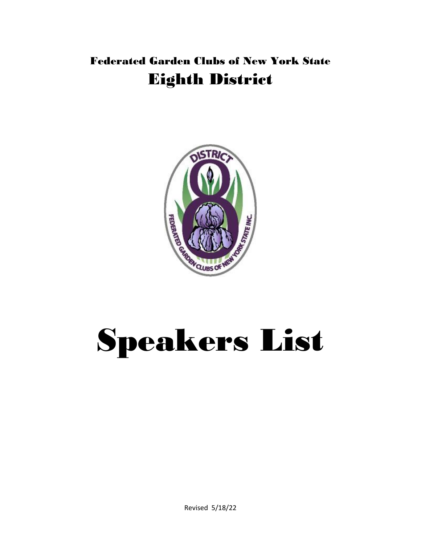## Federated Garden Clubs of New York State Eighth District



# Speakers List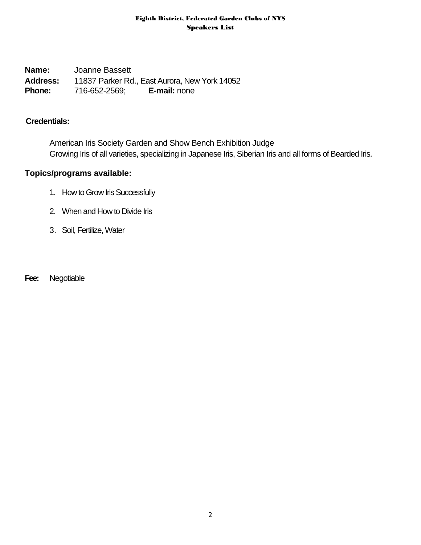**Name:** Joanne Bassett **Address:** 11837 Parker Rd., East Aurora, New York 14052 **Phone:** 716-652-2569; **E-mail:** none

## **Credentials:**

American Iris Society Garden and Show Bench Exhibition Judge Growing Iris of all varieties, specializing in Japanese Iris, Siberian Iris and all forms of Bearded Iris.

## **Topics/programs available:**

- 1. How to Grow Iris Successfully
- 2. When and How to Divide Iris
- 3. Soil, Fertilize, Water

**Fee:** Negotiable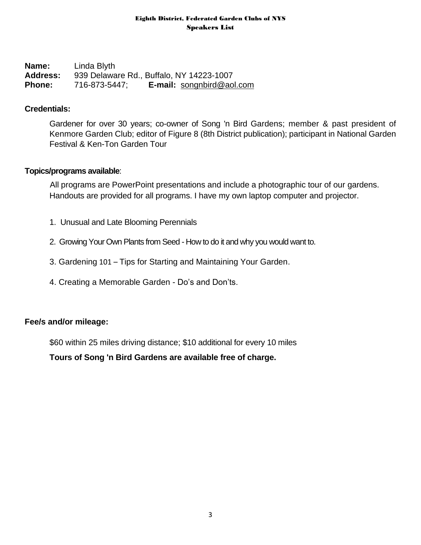**Name:** Linda Blyth **Address:** 939 Delaware Rd., Buffalo, NY 14223-1007 **Phone:** 716-873-5447; **E-mail:** [songnbird@aol.com](mailto:songnbird@aol.com)

## **Credentials:**

Gardener for over 30 years; co-owner of Song 'n Bird Gardens; member & past president of Kenmore Garden Club; editor of Figure 8 (8th District publication); participant in National Garden Festival & Ken-Ton Garden Tour

## **Topics/programs available**:

All programs are PowerPoint presentations and include a photographic tour of our gardens. Handouts are provided for all programs. I have my own laptop computer and projector.

- 1. Unusual and Late Blooming Perennials
- 2. Growing Your Own Plants from Seed How to do it and why you would want to.
- 3. Gardening 101 Tips for Starting and Maintaining Your Garden.
- 4. Creating a Memorable Garden Do's and Don'ts.

## **Fee/s and/or mileage:**

\$60 within 25 miles driving distance; \$10 additional for every 10 miles

**Tours of Song 'n Bird Gardens are available free of charge.**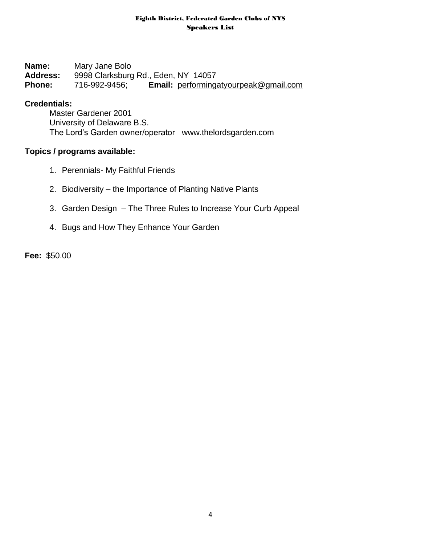**Name:** Mary Jane Bolo **Address:** 9998 Clarksburg Rd., Eden, NY 14057 **Phone:** 716-992-9456; **Email:** [performingatyourpeak@gmail.com](mailto:performingatyourpeak@gmail.com)

## **Credentials:**

Master Gardener 2001 University of Delaware B.S. The Lord's Garden owner/operator [www.thelordsgarden.com](http://www.thelordsgarden.com/)

## **Topics / programs available:**

- 1. Perennials- My Faithful Friends
- 2. Biodiversity the Importance of Planting Native Plants
- 3. Garden Design The Three Rules to Increase Your Curb Appeal
- 4. Bugs and How They Enhance Your Garden

**Fee:** \$50.00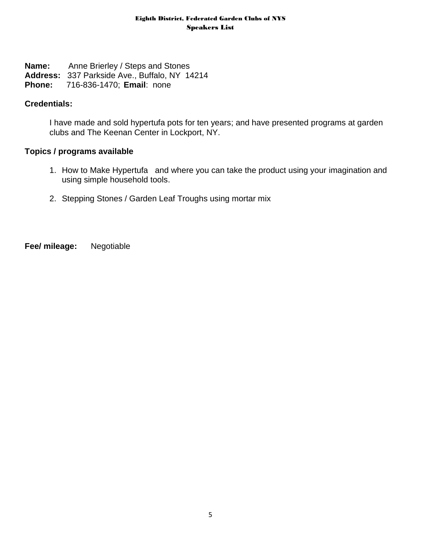- **Name:** Anne Brierley / Steps and Stones
- **Address:** 337 Parkside Ave., Buffalo, NY 14214
- **Phone:** 716-836-1470; **Email**: none

## **Credentials:**

I have made and sold hypertufa pots for ten years; and have presented programs at garden clubs and The Keenan Center in Lockport, NY.

## **Topics / programs available**

- 1. How to Make Hypertufa and where you can take the product using your imagination and using simple household tools.
- 2. Stepping Stones / Garden Leaf Troughs using mortar mix

**Fee/ mileage:** Negotiable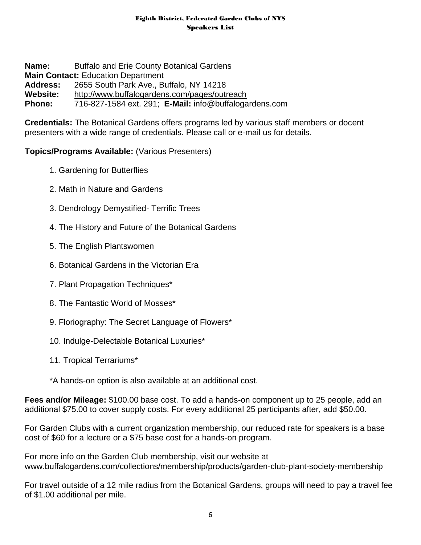**Name:** Buffalo and Erie County Botanical Gardens **Main Contact:** Education Department **Address:** 2655 South Park Ave., Buffalo, NY 14218 **Website:** <http://www.buffalogardens.com/pages/outreach> **Phone:** 716-827-1584 ext. 291; **E-Mail:** info@buffalogardens.com

**Credentials:** The Botanical Gardens offers programs led by various staff members or docent presenters with a wide range of credentials. Please call or e-mail us for details.

## **Topics/Programs Available:** (Various Presenters)

- 1. Gardening for Butterflies
- 2. Math in Nature and Gardens
- 3. Dendrology Demystified- Terrific Trees
- 4. The History and Future of the Botanical Gardens
- 5. The English Plantswomen
- 6. Botanical Gardens in the Victorian Era
- 7. Plant Propagation Techniques\*
- 8. The Fantastic World of Mosses\*
- 9. Floriography: The Secret Language of Flowers\*
- 10. Indulge-Delectable Botanical Luxuries\*
- 11. Tropical Terrariums\*
- \*A hands-on option is also available at an additional cost.

**Fees and/or Mileage:** \$100.00 base cost. To add a hands-on component up to 25 people, add an additional \$75.00 to cover supply costs. For every additional 25 participants after, add \$50.00.

For Garden Clubs with a current organization membership, our reduced rate for speakers is a base cost of \$60 for a lecture or a \$75 base cost for a hands-on program.

For more info on the Garden Club membership, visit our website at www.buffalogardens.com/collections/membership/products/garden-club-plant-society-membership

For travel outside of a 12 mile radius from the Botanical Gardens, groups will need to pay a travel fee of \$1.00 additional per mile.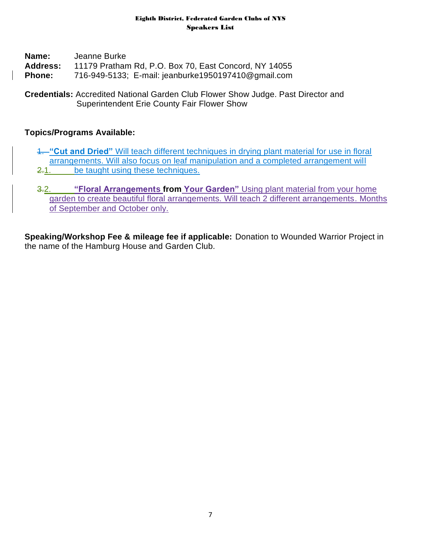| Name:           | Jeanne Burke                                          |
|-----------------|-------------------------------------------------------|
| <b>Address:</b> | 11179 Pratham Rd, P.O. Box 70, East Concord, NY 14055 |
| <b>Phone:</b>   | 716-949-5133; E-mail: jeanburke1950197410@gmail.com   |

**Credentials:** Accredited National Garden Club Flower Show Judge. Past Director and Superintendent Erie County Fair Flower Show

## **Topics/Programs Available:**

- 1. **"Cut and Dried"** Will teach different techniques in drying plant material for use in floral arrangements. Will also focus on leaf manipulation and a completed arrangement will 2.1. be taught using these techniques.
- 3.2. **"Floral Arrangements from Your Garden"** Using plant material from your home garden to create beautiful floral arrangements. Will teach 2 different arrangements. Months of September and October only.

**Speaking/Workshop Fee & mileage fee if applicable:** Donation to Wounded Warrior Project in the name of the Hamburg House and Garden Club.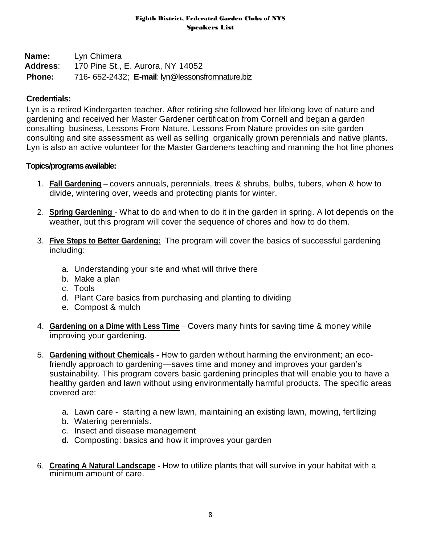**Name:** Lyn Chimera **Address**: 170 Pine St., E. Aurora, NY 14052 **Phone:** 716- 652-2432; **E-mail**[: lyn@lessonsfromnature.biz](mailto:lyn@lessonsfromnature.biz)

## **Credentials:**

Lyn is a retired Kindergarten teacher. After retiring she followed her lifelong love of nature and gardening and received her Master Gardener certification from Cornell and began a garden consulting business, Lessons From Nature. Lessons From Nature provides on-site garden consulting and site assessment as well as selling organically grown perennials and native plants. Lyn is also an active volunteer for the Master Gardeners teaching and manning the hot line phones

## **Topics/programs available:**

- 1. **Fall Gardening** covers annuals, perennials, trees & shrubs, bulbs, tubers, when & how to divide, wintering over, weeds and protecting plants for winter.
- 2. **Spring Gardening** What to do and when to do it in the garden in spring. A lot depends on the weather, but this program will cover the sequence of chores and how to do them.
- 3. **Five Steps to Better Gardening:** The program will cover the basics of successful gardening including:
	- a. Understanding your site and what will thrive there
	- b. Make a plan
	- c. Tools
	- d. Plant Care basics from purchasing and planting to dividing
	- e. Compost & mulch
- 4. **Gardening on a Dime with Less Time** Covers many hints for saving time & money while improving your gardening.
- 5. **Gardening without Chemicals -** How to garden without harming the environment; an ecofriendly approach to gardening—saves time and money and improves your garden's sustainability. This program covers basic gardening principles that will enable you to have a healthy garden and lawn without using environmentally harmful products. The specific areas covered are:
	- a. Lawn care starting a new lawn, maintaining an existing lawn, mowing, fertilizing
	- b. Watering perennials.
	- c. Insect and disease management
	- **d.** Composting: basics and how it improves your garden
- 6. **Creating A Natural Landscape** How to utilize plants that will survive in your habitat with a minimum amount of care.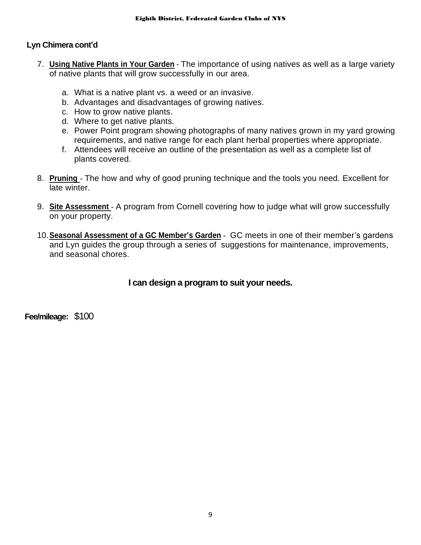## **Lyn Chimera cont'd**

- 7. **Using Native Plants in Your Garden** The importance of using natives as well as a large variety of native plants that will grow successfully in our area.
	- a. What is a native plant vs. a weed or an invasive.
	- b. Advantages and disadvantages of growing natives.
	- c. How to grow native plants.
	- d. Where to get native plants.
	- e. Power Point program showing photographs of many natives grown in my yard growing requirements, and native range for each plant herbal properties where appropriate.
	- f. Attendees will receive an outline of the presentation as well as a complete list of plants covered.
- 8. **Pruning** The how and why of good pruning technique and the tools you need. Excellent for late winter.
- 9. **Site Assessment** A program from Cornell covering how to judge what will grow successfully on your property.
- 10.**Seasonal Assessment of a GC Member's Garden** GC meets in one of their member's gardens and Lyn guides the group through a series of suggestions for maintenance, improvements, and seasonal chores.

## **I can design a program to suit your needs.**

**Fee/mileage:** \$100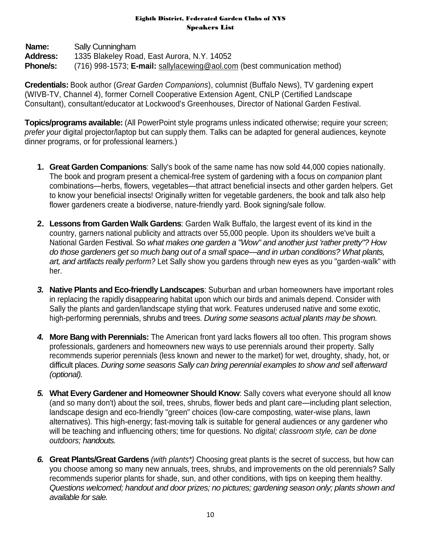**Name:** Sally Cunningham **Address:** 1335 Blakeley Road, East Aurora, N.Y. 14052 **Phone/s:** (716) 998-1573; **E-mail:** sallylacewing@aol.com (best communication method)

**Credentials:** Book author (*Great Garden Companions*), columnist (Buffalo News), TV gardening expert (WIVB-TV, Channel 4), former Cornell Cooperative Extension Agent, CNLP (Certified Landscape Consultant), consultant/educator at Lockwood's Greenhouses, Director of National Garden Festival.

**Topics/programs available:** (All PowerPoint style programs unless indicated otherwise; require your screen; *prefer your* digital projector/laptop but can supply them. Talks can be adapted for general audiences, keynote dinner programs, or for professional learners.)

- **1. Great Garden Companions**: Sally's book of the same name has now sold 44,000 copies nationally. The book and program present a chemical-free system of gardening with a focus on *companion* plant combinations—herbs, flowers, vegetables—that attract beneficial insects and other garden helpers. Get to know your beneficial insects! Originally written for vegetable gardeners, the book and talk also help flower gardeners create a biodiverse, nature-friendly yard. Book signing/sale follow.
- **2. Lessons from Garden Walk Gardens**: Garden Walk Buffalo, the largest event of its kind in the country, garners national publicity and attracts over 55,000 people. Upon its shoulders we've built a National Garden Festival. So *what makes one garden a "Wow" and another just 'rather pretty"? How do those gardeners get so much bang out of a small space—and in urban conditions? What plants, art, and artifacts really perform?* Let Sally show you gardens through new eyes as you "garden-walk" with her.
- *3.* **Native Plants and Eco-friendly Landscapes**: Suburban and urban homeowners have important roles in replacing the rapidly disappearing habitat upon which our birds and animals depend. Consider with Sally the plants and garden/landscape styling that work. Features underused native and some exotic, high-performing perennials, shrubs and trees. *During some seasons actual plants may be shown.*
- *4.* **More Bang with Perennials:** The American front yard lacks flowers all too often. This program shows professionals, gardeners and homeowners new ways to use perennials around their property. Sally recommends superior perennials (less known and newer to the market) for wet, droughty, shady, hot, or difficult places. *During some seasons Sally can bring perennial examples to show and sell afterward (optional).*
- *5.* **What Every Gardener and Homeowner Should Know**: Sally covers what everyone should all know (and so many don't) about the soil, trees, shrubs, flower beds and plant care—including plant selection, landscape design and eco-friendly "green" choices (low-care composting, water-wise plans, lawn alternatives). This high-energy; fast-moving talk is suitable for general audiences or any gardener who will be teaching and influencing others; time for questions. No *digital; classroom style, can be done outdoors; handouts.*
- *6.* **Great Plants/Great Gardens** *(with plants\*)* Choosing great plants is the secret of success, but how can you choose among so many new annuals, trees, shrubs, and improvements on the old perennials? Sally recommends superior plants for shade, sun, and other conditions, with tips on keeping them healthy. *Questions welcomed; handout and door prizes; no pictures; gardening season only; plants shown and available for sale.*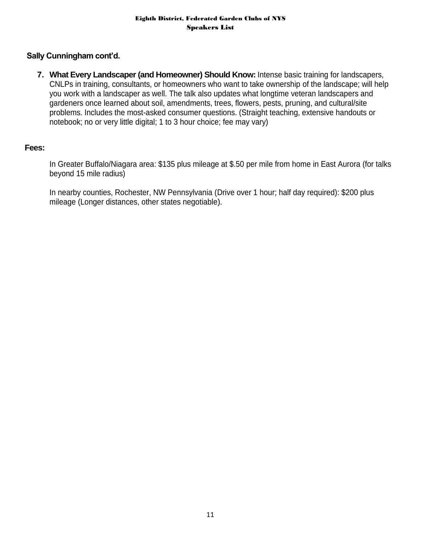## **Sally Cunningham cont'd.**

**7. What Every Landscaper (and Homeowner) Should Know:** Intense basic training for landscapers, CNLPs in training, consultants, or homeowners who want to take ownership of the landscape; will help you work with a landscaper as well. The talk also updates what longtime veteran landscapers and gardeners once learned about soil, amendments, trees, flowers, pests, pruning, and cultural/site problems. Includes the most-asked consumer questions. (Straight teaching, extensive handouts or notebook; no or very little digital; 1 to 3 hour choice; fee may vary)

#### **Fees:**

In Greater Buffalo/Niagara area: \$135 plus mileage at \$.50 per mile from home in East Aurora (for talks beyond 15 mile radius)

In nearby counties, Rochester, NW Pennsylvania (Drive over 1 hour; half day required): \$200 plus mileage (Longer distances, other states negotiable).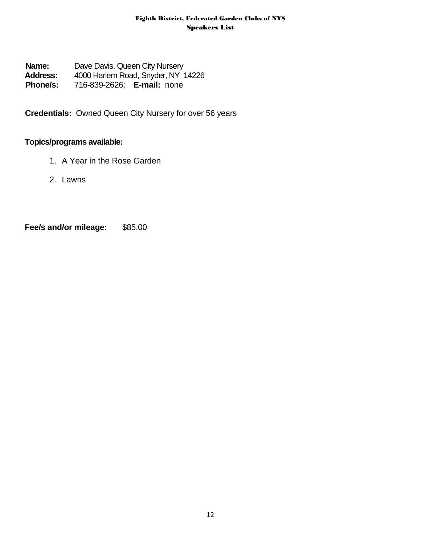**Name:** Dave Davis, Queen City Nursery **Address:** 4000 Harlem Road, Snyder, NY 14226 **Phone/s:** 716-839-2626; **E-mail:** none

**Credentials:** Owned Queen City Nursery for over 56 years

## **Topics/programs available:**

- 1. A Year in the Rose Garden
- 2. Lawns

**Fee/s and/or mileage:** \$85.00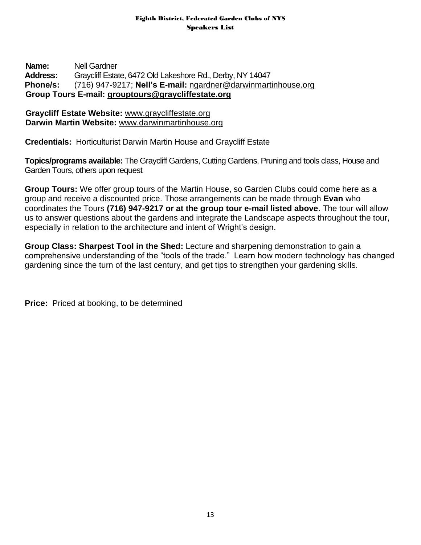## **Name:** Nell Gardner **Address:** Graycliff Estate, 6472 Old Lakeshore Rd., Derby, NY 14047 **Phone/s:** (716) 947-9217; **Nell's E-mail:** [ngardner@darwinmartinhouse.org](mailto:ngardner@darwinmartinhouse.org) **Group Tours E-mail: [grouptours@graycliffestate.org](mailto:grouptours@graycliffestate.org)**

## **Graycliff Estate Website:** [www.graycliffestate.org](http://www.graycliffestate.org/) **Darwin Martin Website:** [www.darwinmartinhouse.org](http://www.darwinmartinhouse.org/)

**Credentials:** Horticulturist Darwin Martin House and Graycliff Estate

**Topics/programs available:** The Graycliff Gardens, Cutting Gardens, Pruning and tools class, House and Garden Tours, others upon request

**Group Tours:** We offer group tours of the Martin House, so Garden Clubs could come here as a group and receive a discounted price. Those arrangements can be made through **Evan** who coordinates the Tours **(716) 947-9217 or at the group tour e-mail listed above**. The tour will allow us to answer questions about the gardens and integrate the Landscape aspects throughout the tour, especially in relation to the architecture and intent of Wright's design.

**Group Class: Sharpest Tool in the Shed:** Lecture and sharpening demonstration to gain a comprehensive understanding of the "tools of the trade." Learn how modern technology has changed gardening since the turn of the last century, and get tips to strengthen your gardening skills.

**Price:** Priced at booking, to be determined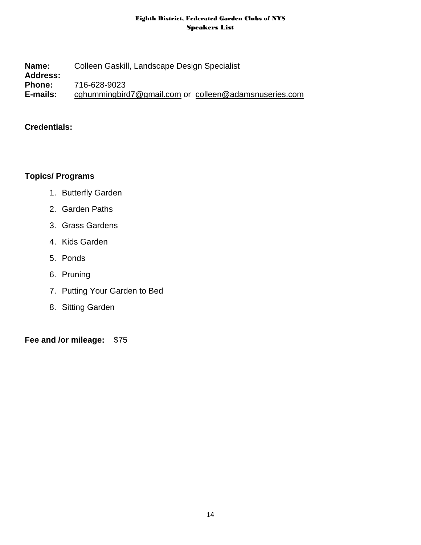**Name:** Colleen Gaskill, Landscape Design Specialist **Address: Phone:** 716-628-9023 **E-mails:** [cghummingbird7@gmail.com](mailto:cghummingbird7@gmail.com) or [colleen@adamsnuseries.com](mailto:colleen@adamsnuseries.com)

## **Credentials:**

## **Topics/ Programs**

- 1. Butterfly Garden
- 2. Garden Paths
- 3. Grass Gardens
- 4. Kids Garden
- 5. Ponds
- 6. Pruning
- 7. Putting Your Garden to Bed
- 8. Sitting Garden

**Fee and /or mileage:** \$75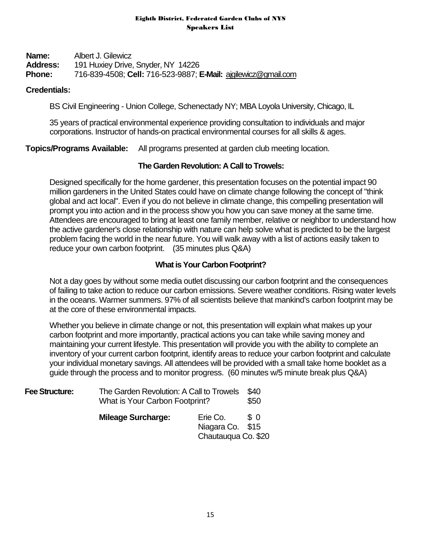**Name:** Albert J. Gilewicz **Address:** 191 Huxiey Drive, Snyder, NY 14226 **Phone:** 716-839-4508; **Cell:** 716-523-9887; **E-Mail:** [ajgilewicz@gmail.com](mailto:ajgilewicz@gmail.com)

#### **Credentials:**

BS Civil Engineering - Union College, Schenectady NY; MBA Loyola University, Chicago, IL

35 years of practical environmental experience providing consultation to individuals and major corporations. Instructor of hands-on practical environmental courses for all skills & ages.

**Topics/Programs Available:** All programs presented at garden club meeting location.

## **The Garden Revolution: A Call to Trowels:**

Designed specifically for the home gardener, this presentation focuses on the potential impact 90 million gardeners in the United States could have on climate change following the concept of "think global and act local". Even if you do not believe in climate change, this compelling presentation will prompt you into action and in the process show you how you can save money at the same time. Attendees are encouraged to bring at least one family member, relative or neighbor to understand how the active gardener's close relationship with nature can help solve what is predicted to be the largest problem facing the world in the near future. You will walk away with a list of actions easily taken to reduce your own carbon footprint. (35 minutes plus Q&A)

## **What is Your Carbon Footprint?**

Not a day goes by without some media outlet discussing our carbon footprint and the consequences of failing to take action to reduce our carbon emissions. Severe weather conditions. Rising water levels in the oceans. Warmer summers. 97% of all scientists believe that mankind's carbon footprint may be at the core of these environmental impacts.

Whether you believe in climate change or not, this presentation will explain what makes up your carbon footprint and more importantly, practical actions you can take while saving money and maintaining your current lifestyle. This presentation will provide you with the ability to complete an inventory of your current carbon footprint, identify areas to reduce your carbon footprint and calculate your individual monetary savings. All attendees will be provided with a small take home booklet as a guide through the process and to monitor progress. (60 minutes w/5 minute break plus Q&A)

| <b>Fee Structure:</b> | The Garden Revolution: A Call to Trowels<br>What is Your Carbon Footprint? |                                                     | \$40<br>\$50 |
|-----------------------|----------------------------------------------------------------------------|-----------------------------------------------------|--------------|
|                       | <b>Mileage Surcharge:</b>                                                  | Erie Co.<br>Niagara Co. \$15<br>Chautauqua Co. \$20 | S O          |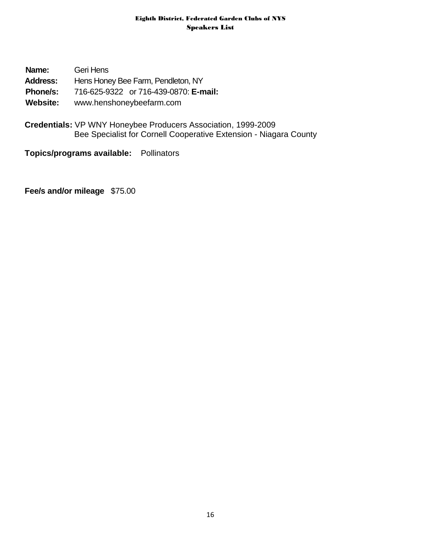| Name:           | Geri Hens                             |
|-----------------|---------------------------------------|
| <b>Address:</b> | Hens Honey Bee Farm, Pendleton, NY    |
| <b>Phone/s:</b> | 716-625-9322 or 716-439-0870: E-mail: |
| Website:        | www.henshoneybeefarm.com              |

**Credentials:** VP WNY Honeybee Producers Association, 1999-2009 Bee Specialist for Cornell Cooperative Extension - Niagara County

## **Topics/programs available:** Pollinators

**Fee/s and/or mileage** \$75.00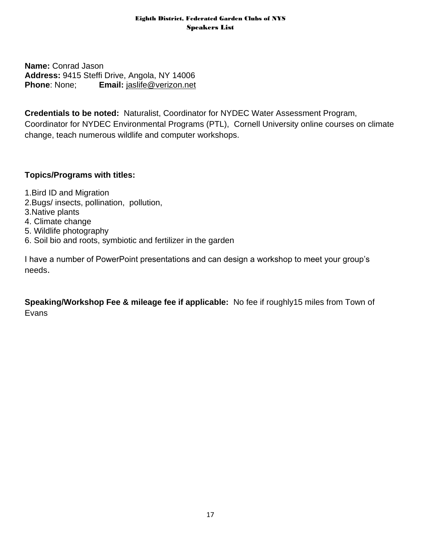**Name:** Conrad Jason **Address:** 9415 Steffi Drive, Angola, NY 14006 **Phone:** None; **Email:**  $i$ <u>aslife@verizon.net</u>

**Credentials to be noted:** Naturalist, Coordinator for NYDEC Water Assessment Program, Coordinator for NYDEC Environmental Programs (PTL), Cornell University online courses on climate change, teach numerous wildlife and computer workshops.

## **Topics/Programs with titles:**

- 1.Bird ID and Migration
- 2.Bugs/ insects, pollination, pollution,
- 3.Native plants
- 4. Climate change
- 5. Wildlife photography
- 6. Soil bio and roots, symbiotic and fertilizer in the garden

I have a number of PowerPoint presentations and can design a workshop to meet your group's needs.

**Speaking/Workshop Fee & mileage fee if applicable:** No fee if roughly15 miles from Town of Evans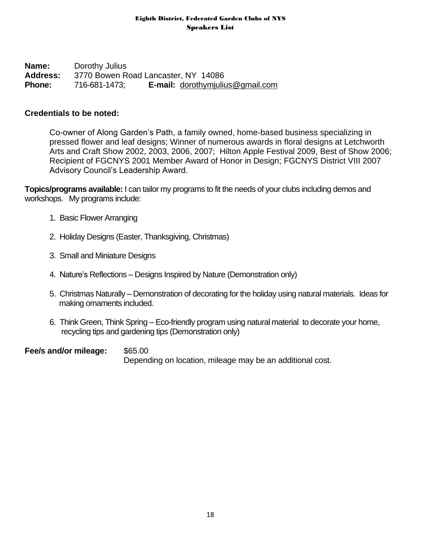**Name:** Dorothy Julius **Address:** 3770 Bowen Road Lancaster, NY 14086 **Phone:** 716-681-1473; **E-mail:** [dorothymjulius@gmail.com](mailto:dorothymjulius@gmail.com)

## **Credentials to be noted:**

Co-owner of Along Garden's Path, a family owned, home-based business specializing in pressed flower and leaf designs; Winner of numerous awards in floral designs at Letchworth Arts and Craft Show 2002, 2003, 2006, 2007; Hilton Apple Festival 2009, Best of Show 2006; Recipient of FGCNYS 2001 Member Award of Honor in Design; FGCNYS District VIII 2007 Advisory Council's Leadership Award.

**Topics/programs available:** I can tailor my programs to fit the needs of your clubs including demos and workshops. My programs include:

- 1. Basic Flower Arranging
- 2. Holiday Designs (Easter, Thanksgiving, Christmas)
- 3. Small and Miniature Designs
- 4. Nature's Reflections Designs Inspired by Nature (Demonstration only)
- 5. Christmas Naturally Demonstration of decorating for the holiday using natural materials. Ideas for making ornaments included.
- 6. Think Green, Think Spring Eco-friendly program using natural material to decorate your home, recycling tips and gardening tips (Demonstration only)

**Fee/s and/or mileage: \$65.00** 

Depending on location, mileage may be an additional cost.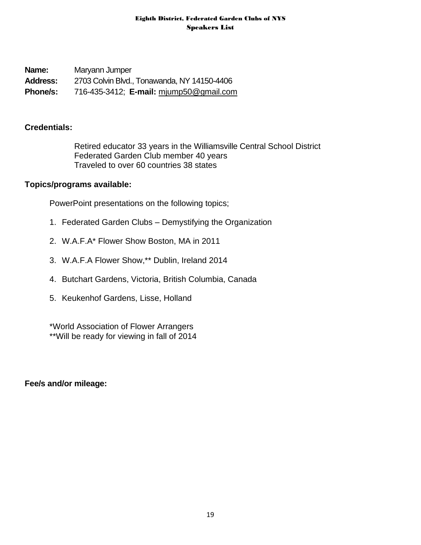**Name:** Maryann Jumper **Address:** 2703 Colvin Blvd., Tonawanda, NY 14150-4406 **Phone/s:** 716-435-3412; **E-mail:** [mjump50@gmail.com](mailto:mjump50@gmail.com)

## **Credentials:**

Retired educator 33 years in the Williamsville Central School District Federated Garden Club member 40 years Traveled to over 60 countries 38 states

## **Topics/programs available:**

PowerPoint presentations on the following topics;

- 1. Federated Garden Clubs Demystifying the Organization
- 2. W.A.F.A\* Flower Show Boston, MA in 2011
- 3. W.A.F.A Flower Show,\*\* Dublin, Ireland 2014
- 4. Butchart Gardens, Victoria, British Columbia, Canada
- 5. Keukenhof Gardens, Lisse, Holland

\*World Association of Flower Arrangers \*\*Will be ready for viewing in fall of 2014

**Fee/s and/or mileage:**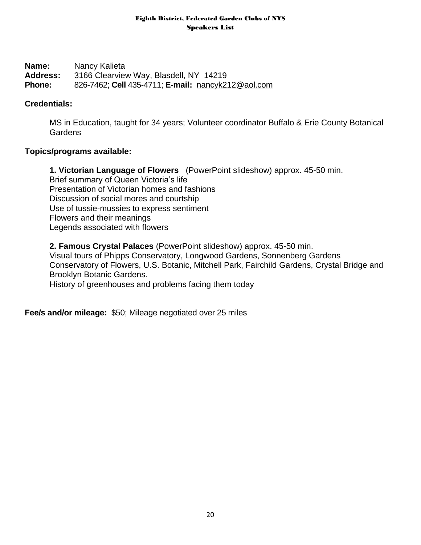**Name:** Nancy Kalieta **Address:** 3166 Clearview Way, Blasdell, NY 14219 **Phone:** 826-7462; **Cell** 435-4711; **E-mail:** [nancyk212@aol.com](mailto:nancyk212@aol.com)

## **Credentials:**

MS in Education, taught for 34 years; Volunteer coordinator Buffalo & Erie County Botanical **Gardens** 

## **Topics/programs available:**

**1. Victorian Language of Flowers** (PowerPoint slideshow) approx. 45-50 min. Brief summary of Queen Victoria's life Presentation of Victorian homes and fashions Discussion of social mores and courtship Use of tussie-mussies to express sentiment Flowers and their meanings Legends associated with flowers

**2. Famous Crystal Palaces** (PowerPoint slideshow) approx. 45-50 min.

Visual tours of Phipps Conservatory, Longwood Gardens, Sonnenberg Gardens Conservatory of Flowers, U.S. Botanic, Mitchell Park, Fairchild Gardens, Crystal Bridge and Brooklyn Botanic Gardens.

History of greenhouses and problems facing them today

**Fee/s and/or mileage:** \$50; Mileage negotiated over 25 miles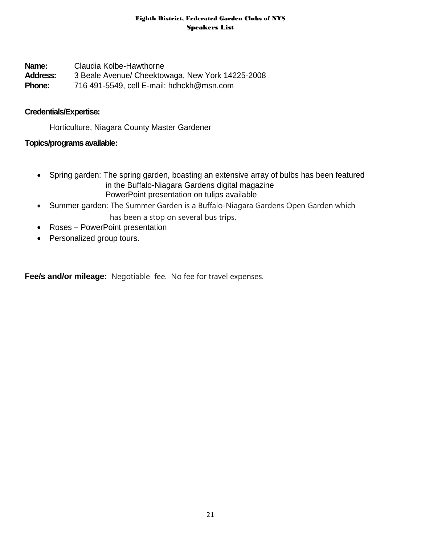**Name:** Claudia Kolbe-Hawthorne **Address:** 3 Beale Avenue/ Cheektowaga, New York 14225-2008 **Phone:** 716 491-5549, cell E-mail: [hdhckh@msn.com](mailto:hdhckh@msn.com)

## **Credentials/Expertise:**

Horticulture, Niagara County Master Gardener

## **Topics/programs available:**

- Spring garden: The spring garden, boasting an extensive array of bulbs has been featured in the Buffalo-Niagara Gardens digital magazine PowerPoint presentation on tulips available
- Summer garden: The Summer Garden is a Buffalo-Niagara Gardens Open Garden which has been a stop on several bus trips.
- Roses PowerPoint presentation
- Personalized group tours.

**Fee/s and/or mileage:** Negotiable fee. No fee for travel expenses.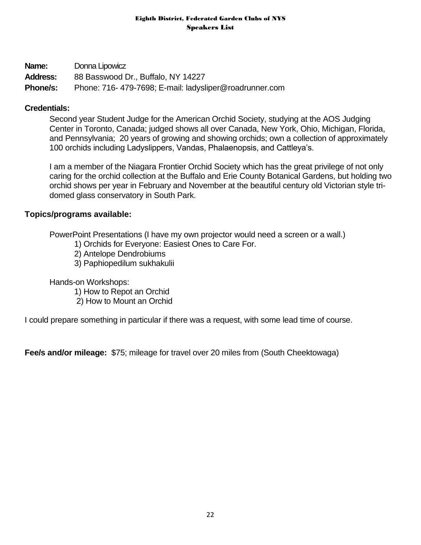| Name:           | Donna Lipowicz                                         |
|-----------------|--------------------------------------------------------|
| <b>Address:</b> | 88 Basswood Dr., Buffalo, NY 14227                     |
| <b>Phone/s:</b> | Phone: 716-479-7698; E-mail: ladysliper@roadrunner.com |

## **Credentials:**

Second year Student Judge for the American Orchid Society, studying at the AOS Judging Center in Toronto, Canada; judged shows all over Canada, New York, Ohio, Michigan, Florida, and Pennsylvania; 20 years of growing and showing orchids; own a collection of approximately 100 orchids including Ladyslippers, Vandas, Phalaenopsis, and Cattleya's.

I am a member of the Niagara Frontier Orchid Society which has the great privilege of not only caring for the orchid collection at the Buffalo and Erie County Botanical Gardens, but holding two orchid shows per year in February and November at the beautiful century old Victorian style tridomed glass conservatory in South Park.

## **Topics/programs available:**

PowerPoint Presentations (I have my own projector would need a screen or a wall.)

- 1) Orchids for Everyone: Easiest Ones to Care For.
- 2) Antelope Dendrobiums
- 3) Paphiopedilum sukhakulii

Hands-on Workshops:

1) How to Repot an Orchid

2) How to Mount an Orchid

I could prepare something in particular if there was a request, with some lead time of course.

**Fee/s and/or mileage:** \$75; mileage for travel over 20 miles from (South Cheektowaga)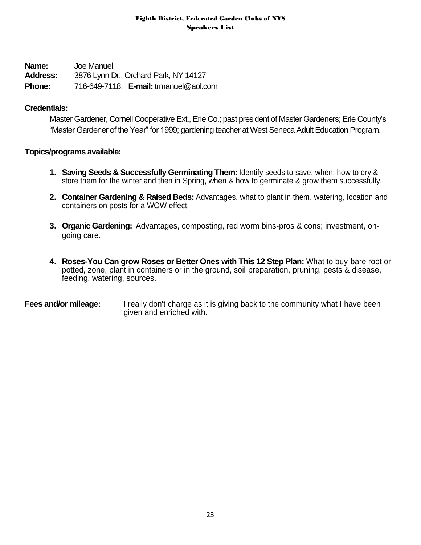**Name:** Joe Manuel **Address:** 3876 Lynn Dr., Orchard Park, NY 14127 **Phone:** 716-649-7118; **E-mail:** [trmanuel@aol.com](mailto:trmanuel@aol.com)

## **Credentials:**

Master Gardener, Cornell Cooperative Ext., Erie Co.; past president of Master Gardeners; Erie County's "Master Gardener of the Year" for 1999; gardening teacher at West Seneca Adult Education Program.

## **Topics/programs available:**

- **1. Saving Seeds & Successfully Germinating Them:** Identify seeds to save, when, how to dry & store them for the winter and then in Spring, when & how to germinate & grow them successfully.
- **2. Container Gardening & Raised Beds:** Advantages, what to plant in them, watering, location and containers on posts for a WOW effect.
- **3. Organic Gardening:** Advantages, composting, red worm bins-pros & cons; investment, ongoing care.
- **4. Roses-You Can grow Roses or Better Ones with This 12 Step Plan:** What to buy-bare root or potted, zone, plant in containers or in the ground, soil preparation, pruning, pests & disease, feeding, watering, sources.

**Fees and/or mileage:** I really don't charge as it is giving back to the community what I have been given and enriched with.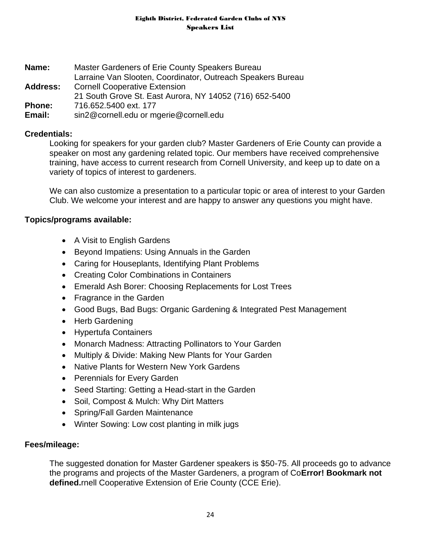**Name:** Master Gardeners of Erie County Speakers Bureau Larraine Van Slooten, Coordinator, Outreach Speakers Bureau **Address:** Cornell Cooperative Extension 21 South Grove St. East Aurora, NY 14052 (716) 652-5400 **Phone:** 716.652.5400 ext. 177 **Email:** sin2@cornell.edu or mgerie@cornell.edu

## **Credentials:**

Looking for speakers for your garden club? Master Gardeners of Erie County can provide a speaker on most any gardening related topic. Our members have received comprehensive training, have access to current research from Cornell University, and keep up to date on a variety of topics of interest to gardeners.

We can also customize a presentation to a particular topic or area of interest to your Garden Club. We welcome your interest and are happy to answer any questions you might have.

## **Topics/programs available:**

- A Visit to English Gardens
- Beyond Impatiens: Using Annuals in the Garden
- Caring for Houseplants, Identifying Plant Problems
- Creating Color Combinations in Containers
- Emerald Ash Borer: Choosing Replacements for Lost Trees
- Fragrance in the Garden
- Good Bugs, Bad Bugs: Organic Gardening & Integrated Pest Management
- Herb Gardening
- Hypertufa Containers
- Monarch Madness: Attracting Pollinators to Your Garden
- Multiply & Divide: Making New Plants for Your Garden
- Native Plants for Western New York Gardens
- Perennials for Every Garden
- Seed Starting: Getting a Head-start in the Garden
- Soil, Compost & Mulch: Why Dirt Matters
- Spring/Fall Garden Maintenance
- Winter Sowing: Low cost planting in milk jugs

## **Fees/mileage:**

The suggested donation for Master Gardener speakers is \$50-75. All proceeds go to advance the programs and projects of the Master Gardeners, a program of Co**Error! Bookmark not defined.**rnell Cooperative Extension of Erie County (CCE Erie).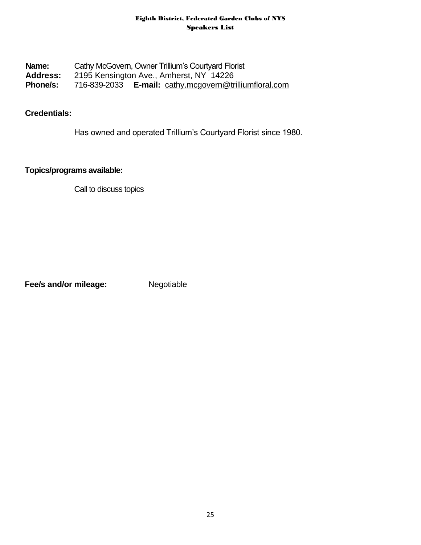## **Name:** Cathy McGovern, Owner Trillium's Courtyard Florist **Address:** 2195 Kensington Ave., Amherst, NY 14226 **Phone/s:** 716-839-2033 **E-mail:** [cathy.mcgovern@trilliumfloral.com](mailto:cathy.mcgovern@trilliumfloral.com)

## **Credentials:**

Has owned and operated Trillium's Courtyard Florist since 1980.

## **Topics/programs available:**

Call to discuss topics

**Fee/s and/or mileage:** Negotiable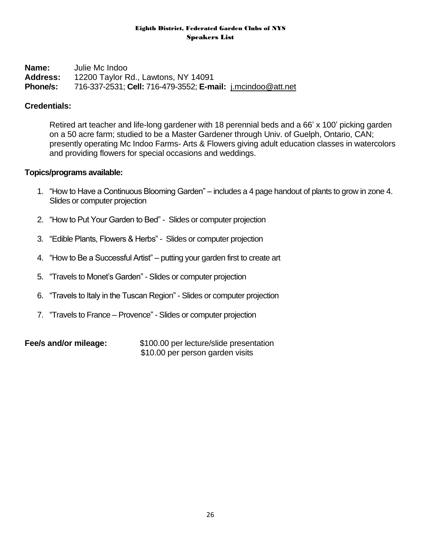**Name:** Julie Mc Indoo **Address:** 12200 Taylor Rd., Lawtons, NY 14091 **Phone/s:** 716-337-2531; **Cell:** 716-479-3552; **E-mail:** [j.mcindoo@att.net](mailto:j.mcindoo@att.net)

## **Credentials:**

Retired art teacher and life-long gardener with 18 perennial beds and a 66' x 100' picking garden on a 50 acre farm; studied to be a Master Gardener through Univ. of Guelph, Ontario, CAN; presently operating Mc Indoo Farms- Arts & Flowers giving adult education classes in watercolors and providing flowers for special occasions and weddings.

## **Topics/programs available:**

- 1. "How to Have a Continuous Blooming Garden" includes a 4 page handout of plants to grow in zone 4. Slides or computer projection
- 2. "How to Put Your Garden to Bed" Slides or computer projection
- 3. "Edible Plants, Flowers & Herbs" Slides or computer projection
- 4. "How to Be a Successful Artist" putting your garden first to create art
- 5. "Travels to Monet's Garden" Slides or computer projection
- 6. "Travels to Italy in the Tuscan Region" Slides or computer projection
- 7. "Travels to France Provence" Slides or computer projection

**Fee/s and/or mileage:**  $$100.00$  per lecture/slide presentation \$10.00 per person garden visits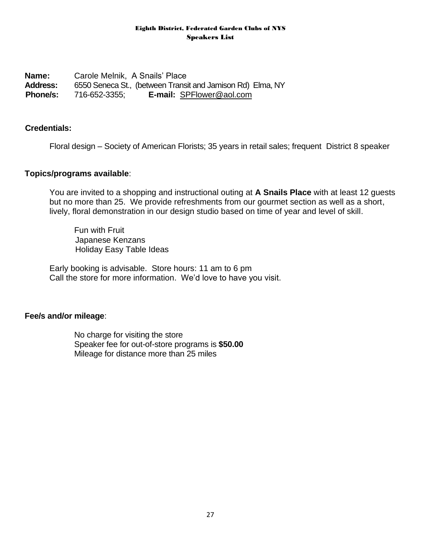**Name:** Carole Melnik, A Snails' Place **Address:** 6550 Seneca St., (between Transit and Jamison Rd) Elma, NY **Phone/s:** 716-652-3355; **E-mail:** [SPFlower@aol.com](mailto:SPFlower@aol.com) 

#### **Credentials:**

Floral design – Society of American Florists; 35 years in retail sales; frequent District 8 speaker

#### **Topics/programs available**:

You are invited to a shopping and instructional outing at **A Snails Place** with at least 12 guests but no more than 25. We provide refreshments from our gourmet section as well as a short, lively, floral demonstration in our design studio based on time of year and level of skill.

 Fun with Fruit Japanese Kenzans Holiday Easy Table Ideas

Early booking is advisable. Store hours: 11 am to 6 pm Call the store for more information. We'd love to have you visit.

#### **Fee/s and/or mileage**:

No charge for visiting the store Speaker fee for out-of-store programs is **\$50.00** Mileage for distance more than 25 miles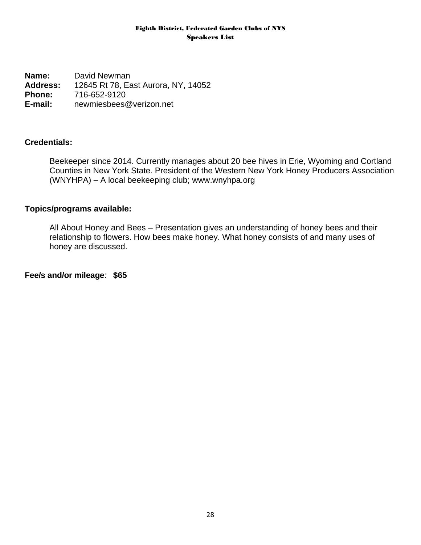**Name:** David Newman **Address:** 12645 Rt 78, East Aurora, NY, 14052 **Phone:** 716-652-9120 **E-mail:** newmiesbees@verizon.net

## **Credentials:**

Beekeeper since 2014. Currently manages about 20 bee hives in Erie, Wyoming and Cortland Counties in New York State. President of the Western New York Honey Producers Association (WNYHPA) – A local beekeeping club; [www.wnyhpa.org](http://www.wnyhpa.org/)

#### **Topics/programs available:**

All About Honey and Bees – Presentation gives an understanding of honey bees and their relationship to flowers. How bees make honey. What honey consists of and many uses of honey are discussed.

**Fee/s and/or mileage**: **\$65**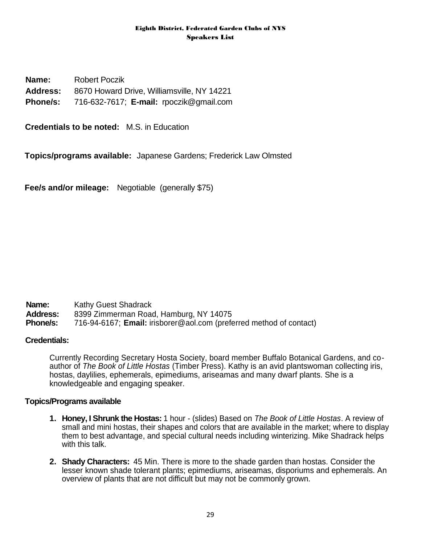**Name:** Robert Poczik **Address:** 8670 Howard Drive, Williamsville, NY 14221 **Phone/s:** 716-632-7617; **E-mail:** rpoczik@gmail.com

**Credentials to be noted:** M.S. in Education

**Topics/programs available:** Japanese Gardens; Frederick Law Olmsted

**Fee/s and/or mileage:** Negotiable (generally \$75)

- **Name:** Kathy Guest Shadrack
- Address: 8399 Zimmerman Road, Hamburg, NY 14075<br>**Phone/s:** 716-94-6167: Email: irisborer@aol.com (prefe

**Phone/s:** 716-94-6167; **Email:** irisborer@aol.com (preferred method of contact)

#### **Credentials:**

Currently Recording Secretary Hosta Society, board member Buffalo Botanical Gardens, and coauthor of *The Book of Little Hostas* (Timber Press). Kathy is an avid plantswoman collecting iris, hostas, daylilies, ephemerals, epimediums, ariseamas and many dwarf plants. She is a knowledgeable and engaging speaker.

#### **Topics/Programs available**

- **1. Honey, I Shrunk the Hostas:** 1 hour (slides) Based on *The Book of Little Hostas*. A review of small and mini hostas, their shapes and colors that are available in the market; where to display them to best advantage, and special cultural needs including winterizing. Mike Shadrack helps with this talk.
- **2. Shady Characters:** 45 Min. There is more to the shade garden than hostas. Consider the lesser known shade tolerant plants; epimediums, ariseamas, disporiums and ephemerals. An overview of plants that are not difficult but may not be commonly grown.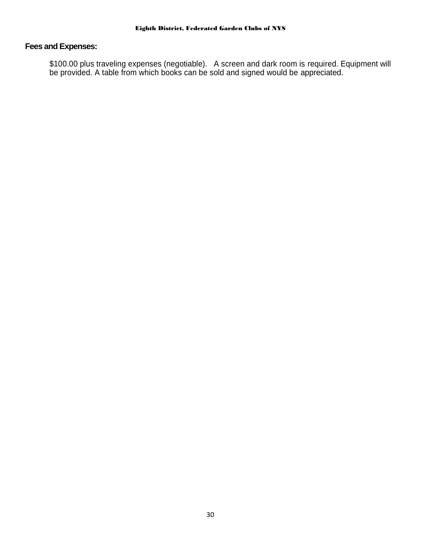## **Fees and Expenses:**

\$100.00 plus traveling expenses (negotiable). A screen and dark room is required. Equipment will be provided. A table from which books can be sold and signed would be appreciated.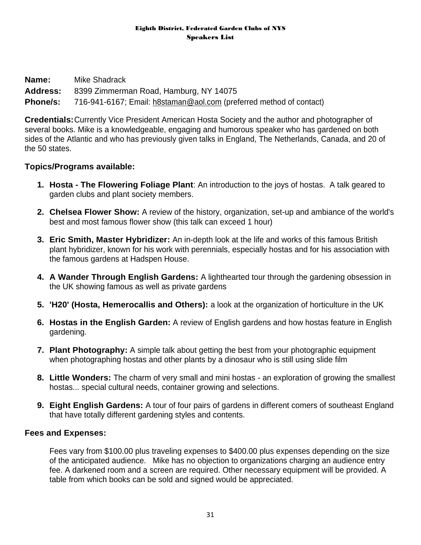| <b>Name:</b>    | Mike Shadrack                                                       |
|-----------------|---------------------------------------------------------------------|
|                 | <b>Address:</b> 8399 Zimmerman Road, Hamburg, NY 14075              |
| <b>Phone/s:</b> | 716-941-6167; Email: h8staman@aol.com (preferred method of contact) |

**Credentials:**Currently Vice President American Hosta Society and the author and photographer of several books. Mike is a knowledgeable, engaging and humorous speaker who has gardened on both sides of the Atlantic and who has previously given talks in England, The Netherlands, Canada, and 20 of the 50 states.

## **Topics/Programs available:**

- **1. Hosta - The Flowering Foliage Plant**: An introduction to the joys of hostas. A talk geared to garden clubs and plant society members.
- **2. Chelsea Flower Show:** A review of the history, organization, set-up and ambiance of the world's best and most famous flower show (this talk can exceed 1 hour)
- **3. Eric Smith, Master Hybridizer:** An in-depth look at the life and works of this famous British plant hybridizer, known for his work with perennials, especially hostas and for his association with the famous gardens at Hadspen House.
- **4. A Wander Through English Gardens:** A lighthearted tour through the gardening obsession in the UK showing famous as well as private gardens
- **5. 'H20' (Hosta, Hemerocallis and Others):** a look at the organization of horticulture in the UK
- **6. Hostas in the English Garden:** A review of English gardens and how hostas feature in English gardening.
- **7. Plant Photography:** A simple talk about getting the best from your photographic equipment when photographing hostas and other plants by a dinosaur who is still using slide film
- **8. Little Wonders:** The charm of very small and mini hostas an exploration of growing the smallest hostas... special cultural needs, container growing and selections.
- **9. Eight English Gardens:** A tour of four pairs of gardens in different comers of southeast England that have totally different gardening styles and contents.

## **Fees and Expenses:**

Fees vary from \$100.00 plus traveling expenses to \$400.00 plus expenses depending on the size of the anticipated audience. Mike has no objection to organizations charging an audience entry fee. A darkened room and a screen are required. Other necessary equipment will be provided. A table from which books can be sold and signed would be appreciated.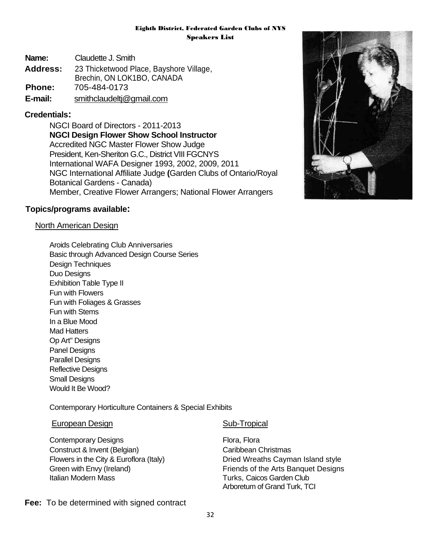**Name:** Claudette J. Smith **Address:** 23 Thicketwood Place, Bayshore Village, Brechin, ON LOK1BO, CANADA **Phone:** 705-484-0173 **E-mail:** [smithclaudeltj@gmail.com](mailto:smithclaudeltj@gmail.com)

## **Credentials:**

NGCI Board of Directors - 2011-2013 **NGCI Design Flower Show School Instructor** Accredited NGC Master Flower Show Judge President, Ken-Sheriton G.C., District VIII FGCNYS International WAFA Designer 1993, 2002, 2009, 2011 NGC International Affiliate Judge **(**Garden Clubs of Ontario/Royal Botanical Gardens - Canada) Member, Creative Flower Arrangers; National Flower Arrangers

#### **Topics/programs available:**

#### North American Design

Aroids Celebrating Club Anniversaries Basic through Advanced Design Course Series Design Techniques Duo Designs Exhibition Table Type II Fun with Flowers Fun with Foliages & Grasses Fun with Stems In a Blue Mood Mad Hatters Op Art" Designs Panel Designs Parallel Designs Reflective Designs Small Designs Would It Be Wood?

Contemporary Horticulture Containers & Special Exhibits

#### European Design Sub-Tropical

Contemporary Designs Flora, Flora, Flora Construct & Invent (Belgian) Construct & Invent (Belgian) Italian Modern Mass **Turks, Caicos Garden Club** 

Flowers in the City & Euroflora (Italy) Dried Wreaths Cayman Island style Green with Envy (Ireland) **Fixally** Friends of the Arts Banquet Designs Arboretum of Grand Turk, TCI



#### **Fee:** To be determined with signed contract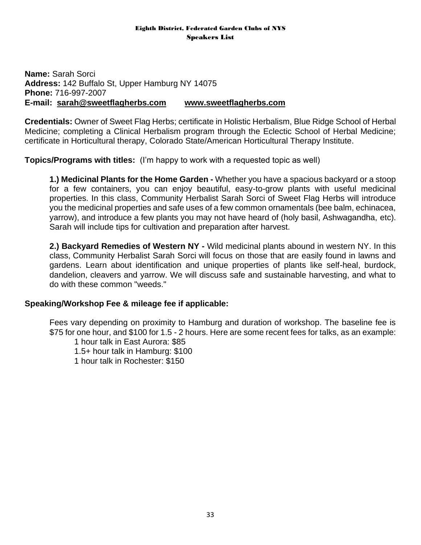**Name:** Sarah Sorci **Address:** 142 Buffalo St, Upper Hamburg NY 14075 **Phone:** 716-997-2007 **E-mail: [sarah@sweetflagherbs.com](mailto:sarah@sweetflagherbs.com) [www.sweetflagherbs.com](http://www.sweetflagherbs.com/)**

**Credentials:** Owner of Sweet Flag Herbs; certificate in Holistic Herbalism, Blue Ridge School of Herbal Medicine; completing a Clinical Herbalism program through the Eclectic School of Herbal Medicine; certificate in Horticultural therapy, Colorado State/American Horticultural Therapy Institute.

**Topics/Programs with titles:** (I'm happy to work with a requested topic as well)

**1.) Medicinal Plants for the Home Garden -** Whether you have a spacious backyard or a stoop for a few containers, you can enjoy beautiful, easy-to-grow plants with useful medicinal properties. In this class, Community Herbalist Sarah Sorci of Sweet Flag Herbs will introduce you the medicinal properties and safe uses of a few common ornamentals (bee balm, echinacea, yarrow), and introduce a few plants you may not have heard of (holy basil, Ashwagandha, etc). Sarah will include tips for cultivation and preparation after harvest.

**2.) Backyard Remedies of Western NY -** Wild medicinal plants abound in western NY. In this class, Community Herbalist Sarah Sorci will focus on those that are easily found in lawns and gardens. Learn about identification and unique properties of plants like self-heal, burdock, dandelion, cleavers and yarrow. We will discuss safe and sustainable harvesting, and what to do with these common "weeds."

## **Speaking/Workshop Fee & mileage fee if applicable:**

Fees vary depending on proximity to Hamburg and duration of workshop. The baseline fee is \$75 for one hour, and \$100 for 1.5 - 2 hours. Here are some recent fees for talks, as an example:

1 hour talk in East Aurora: \$85 1.5+ hour talk in Hamburg: \$100 1 hour talk in Rochester: \$150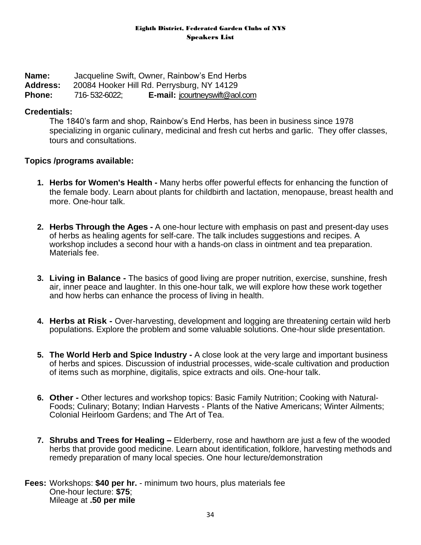**Name:** Jacqueline Swift, Owner, Rainbow's End Herbs **Address:** 20084 Hooker Hill Rd. Perrysburg, NY 14129 **Phone:** 716-532-6022; **E-mail:** [jcourtneyswift@aol.com](mailto:jcourtneyswift@aol.com)

#### **Credentials:**

The 1840's farm and shop, Rainbow's End Herbs, has been in business since 1978 specializing in organic culinary, medicinal and fresh cut herbs and garlic. They offer classes, tours and consultations.

#### **Topics /programs available:**

- **1. Herbs for Women's Health -** Many herbs offer powerful effects for enhancing the function of the female body. Learn about plants for childbirth and lactation, menopause, breast health and more. One-hour talk.
- **2. Herbs Through the Ages -** A one-hour lecture with emphasis on past and present-day uses of herbs as healing agents for self-care. The talk includes suggestions and recipes. A workshop includes a second hour with a hands-on class in ointment and tea preparation. Materials fee.
- **3. Living in Balance -** The basics of good living are proper nutrition, exercise, sunshine, fresh air, inner peace and laughter. In this one-hour talk, we will explore how these work together and how herbs can enhance the process of living in health.
- **4. Herbs at Risk -** Over-harvesting, development and logging are threatening certain wild herb populations. Explore the problem and some valuable solutions. One-hour slide presentation.
- **5. The World Herb and Spice Industry -** A close look at the very large and important business of herbs and spices. Discussion of industrial processes, wide-scale cultivation and production of items such as morphine, digitalis, spice extracts and oils. One-hour talk.
- **6. Other -** Other lectures and workshop topics: Basic Family Nutrition; Cooking with Natural-Foods; Culinary; Botany; Indian Harvests - Plants of the Native Americans; Winter Ailments; Colonial Heirloom Gardens; and The Art of Tea.
- **7. Shrubs and Trees for Healing –** Elderberry, rose and hawthorn are just a few of the wooded herbs that provide good medicine. Learn about identification, folklore, harvesting methods and remedy preparation of many local species. One hour lecture/demonstration

**Fees:** Workshops: **\$40 per hr.** - minimum two hours, plus materials fee One-hour lecture: **\$75**; Mileage at **.50 per mile**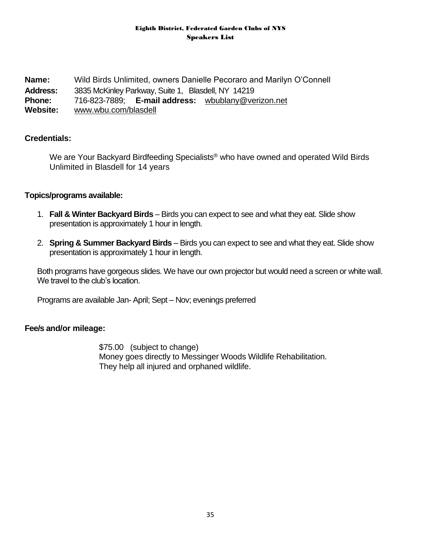**Name:** Wild Birds Unlimited, owners Danielle Pecoraro and Marilyn O'Connell **Address:** 3835 McKinley Parkway, Suite 1, Blasdell, NY 14219 **Phone:** 716-823-7889; **E-mail address:** [wbublany@verizon.net](mailto:wbublany@verizon.net)  **Website:** [www.wbu.com/blasdell](http://www.wbu.com/blasdell)

## **Credentials:**

We are Your Backyard Birdfeeding Specialists<sup>®</sup> who have owned and operated Wild Birds Unlimited in Blasdell for 14 years

#### **Topics/programs available:**

- 1. **Fall & Winter Backyard Birds** Birds you can expect to see and what they eat. Slide show presentation is approximately 1 hour in length.
- 2. **Spring & Summer Backyard Birds** Birds you can expect to see and what they eat. Slide show presentation is approximately 1 hour in length.

Both programs have gorgeous slides. We have our own projector but would need a screen or white wall. We travel to the club's location.

Programs are available Jan- April; Sept – Nov; evenings preferred

#### **Fee/s and/or mileage:**

\$75.00 (subject to change) Money goes directly to Messinger Woods Wildlife Rehabilitation. They help all injured and orphaned wildlife.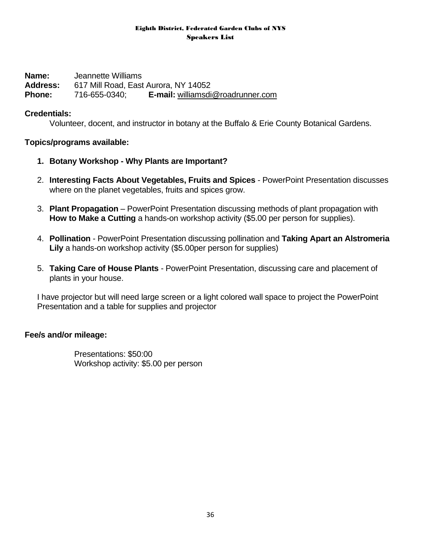**Name:** Jeannette Williams **Address:** 617 Mill Road, East Aurora, NY 14052 **Phone:** 716-655-0340; **E-mail:** [williamsdi@roadrunner.com](mailto:williamsdi@roadrunner.com)

#### **Credentials:**

Volunteer, docent, and instructor in botany at the Buffalo & Erie County Botanical Gardens.

#### **Topics/programs available:**

- **1. Botany Workshop - Why Plants are Important?**
- 2. **Interesting Facts About Vegetables, Fruits and Spices** PowerPoint Presentation discusses where on the planet vegetables, fruits and spices grow.
- 3. **Plant Propagation** PowerPoint Presentation discussing methods of plant propagation with **How to Make a Cutting** a hands-on workshop activity (\$5.00 per person for supplies).
- 4. **Pollination** PowerPoint Presentation discussing pollination and **Taking Apart an Alstromeria Lily** a hands-on workshop activity (\$5.00per person for supplies)
- 5. **Taking Care of House Plants** PowerPoint Presentation, discussing care and placement of plants in your house.

I have projector but will need large screen or a light colored wall space to project the PowerPoint Presentation and a table for supplies and projector

## **Fee/s and/or mileage:**

Presentations: \$50:00 Workshop activity: \$5.00 per person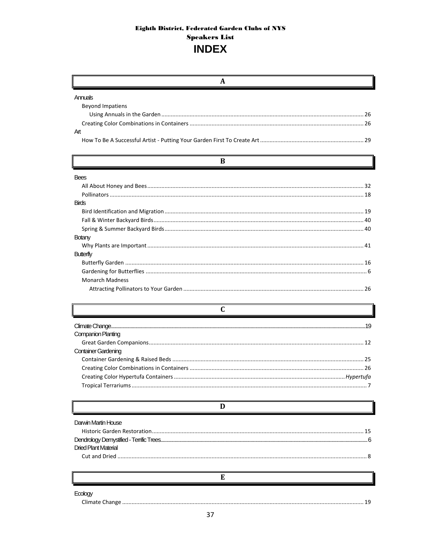| A                           |  |
|-----------------------------|--|
| Annuals                     |  |
| <b>Beyond Impatiens</b>     |  |
|                             |  |
|                             |  |
| Art                         |  |
|                             |  |
| B                           |  |
| <b>Bees</b>                 |  |
|                             |  |
|                             |  |
| <b>Birds</b>                |  |
|                             |  |
|                             |  |
|                             |  |
| <b>Botany</b>               |  |
|                             |  |
| <b>Butterfly</b>            |  |
|                             |  |
|                             |  |
| <b>Monarch Madness</b>      |  |
|                             |  |
|                             |  |
| $\mathbf C$                 |  |
|                             |  |
| <b>Companion Planting</b>   |  |
|                             |  |
| <b>Container Gardening</b>  |  |
|                             |  |
|                             |  |
|                             |  |
|                             |  |
| D                           |  |
| Darwin Martin House         |  |
|                             |  |
|                             |  |
| <b>Dried Plant Material</b> |  |
|                             |  |
| Е                           |  |
|                             |  |
| <b>Emlony</b>               |  |

gy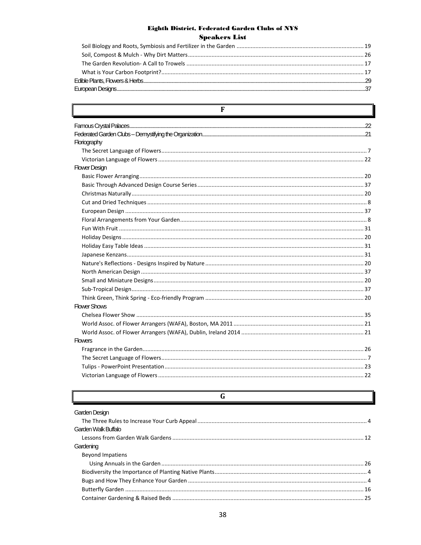| F                    |  |
|----------------------|--|
|                      |  |
|                      |  |
| Floriography         |  |
|                      |  |
|                      |  |
| <b>Flower Design</b> |  |
|                      |  |
|                      |  |
|                      |  |
|                      |  |
|                      |  |
|                      |  |
|                      |  |
|                      |  |
|                      |  |
|                      |  |
|                      |  |
|                      |  |
|                      |  |
|                      |  |
|                      |  |
| <b>Flower Shows</b>  |  |
|                      |  |
|                      |  |
|                      |  |
| <b>Flowers</b>       |  |
|                      |  |
|                      |  |
|                      |  |
|                      |  |

| G                       |  |
|-------------------------|--|
| Garden Design           |  |
|                         |  |
| Garden Walk Buffalo     |  |
|                         |  |
| Gardening               |  |
| <b>Beyond Impatiens</b> |  |
|                         |  |
|                         |  |
|                         |  |
|                         |  |
|                         |  |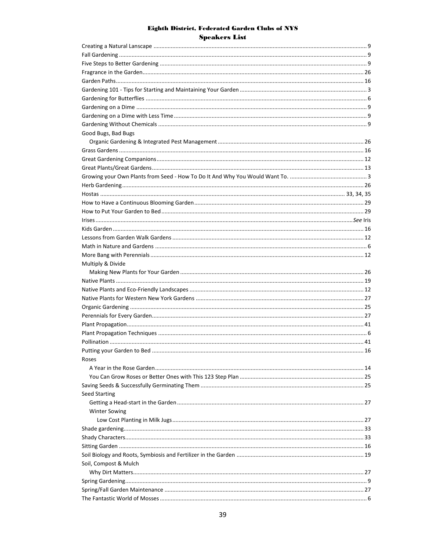| Good Bugs, Bad Bugs   |      |
|-----------------------|------|
|                       |      |
|                       |      |
|                       |      |
|                       |      |
|                       |      |
|                       |      |
|                       |      |
|                       |      |
|                       |      |
|                       |      |
|                       |      |
|                       |      |
|                       |      |
|                       |      |
| Multiply & Divide     |      |
|                       |      |
|                       |      |
|                       |      |
|                       |      |
|                       |      |
|                       |      |
|                       |      |
|                       |      |
|                       |      |
|                       |      |
|                       | . 16 |
| Roses                 |      |
|                       |      |
|                       |      |
|                       |      |
| <b>Seed Starting</b>  |      |
|                       |      |
| <b>Winter Sowing</b>  |      |
|                       |      |
|                       |      |
|                       |      |
|                       |      |
|                       |      |
| Soil, Compost & Mulch |      |
|                       |      |
|                       |      |
|                       |      |
|                       |      |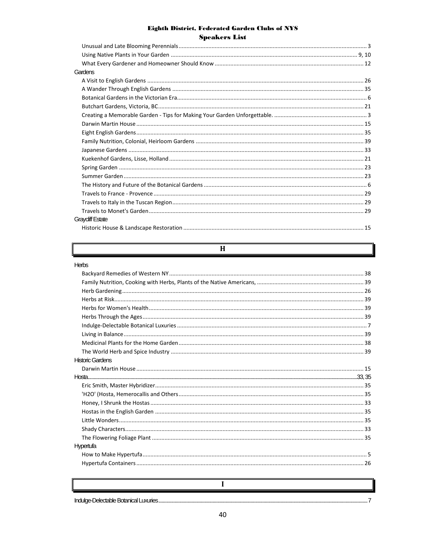| Gardens                 |  |
|-------------------------|--|
|                         |  |
|                         |  |
|                         |  |
|                         |  |
|                         |  |
|                         |  |
|                         |  |
|                         |  |
|                         |  |
|                         |  |
|                         |  |
|                         |  |
|                         |  |
|                         |  |
|                         |  |
|                         |  |
| <b>Graycliff Estate</b> |  |
|                         |  |

#### $H$

#### Herbs

| naw                     |  |
|-------------------------|--|
|                         |  |
|                         |  |
|                         |  |
|                         |  |
|                         |  |
|                         |  |
|                         |  |
|                         |  |
|                         |  |
|                         |  |
| <b>Historic Gardens</b> |  |
|                         |  |
|                         |  |
|                         |  |
|                         |  |
|                         |  |
|                         |  |
|                         |  |
|                         |  |
|                         |  |
| Hypertufa               |  |
|                         |  |
|                         |  |
|                         |  |
|                         |  |
| I                       |  |

Indulge-Delectable Botanical Luxuries......

 $.7$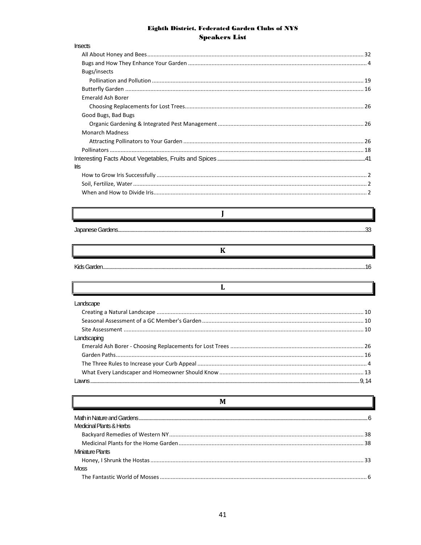| <b>Insects</b>           |  |
|--------------------------|--|
|                          |  |
|                          |  |
| Bugs/insects             |  |
|                          |  |
|                          |  |
| <b>Emerald Ash Borer</b> |  |
|                          |  |
| Good Bugs, Bad Bugs      |  |
|                          |  |
| <b>Monarch Madness</b>   |  |
|                          |  |
|                          |  |
|                          |  |
| Ins                      |  |
|                          |  |
|                          |  |
|                          |  |
|                          |  |
|                          |  |
|                          |  |
|                          |  |
|                          |  |
| K                        |  |
|                          |  |
|                          |  |
|                          |  |
| L                        |  |
| Landscape                |  |
|                          |  |
|                          |  |
|                          |  |
| Landscaping              |  |
|                          |  |
|                          |  |
|                          |  |
|                          |  |
|                          |  |
|                          |  |
|                          |  |
| M                        |  |

| Medicinal Plants & Herbs |  |
|--------------------------|--|
|                          |  |
|                          |  |
| Miniature Plants         |  |
|                          |  |
| Moss                     |  |
|                          |  |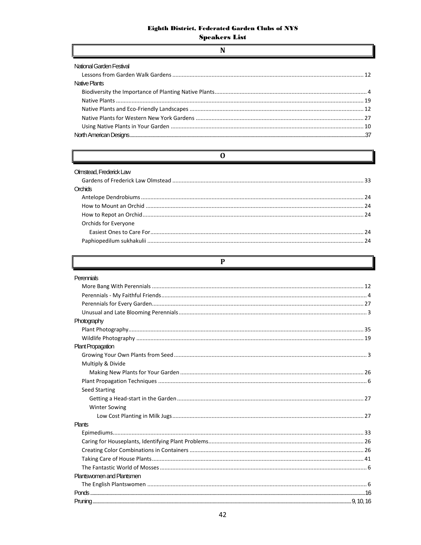$\mathbf N$ 

| National Garden Festival |  |
|--------------------------|--|
| Native Plants            |  |
|                          |  |
|                          |  |
|                          |  |
|                          |  |
|                          |  |
|                          |  |

 $\overline{\mathbf{0}}$ 

| Olmstead. Frederick Law<br>Orchide |  |
|------------------------------------|--|
|                                    |  |
|                                    |  |
|                                    |  |
| Orchids for Everyone               |  |
|                                    |  |
|                                    |  |

 $\overline{P}$ 

| Perennials                |  |
|---------------------------|--|
|                           |  |
|                           |  |
|                           |  |
|                           |  |
| Photography               |  |
|                           |  |
|                           |  |
| <b>Plant Propagation</b>  |  |
|                           |  |
| Multiply & Divide         |  |
|                           |  |
|                           |  |
| <b>Seed Starting</b>      |  |
|                           |  |
| <b>Winter Sowing</b>      |  |
|                           |  |
| Plants                    |  |
|                           |  |
|                           |  |
|                           |  |
|                           |  |
|                           |  |
| Plantswomen and Plantsmen |  |
|                           |  |
|                           |  |
|                           |  |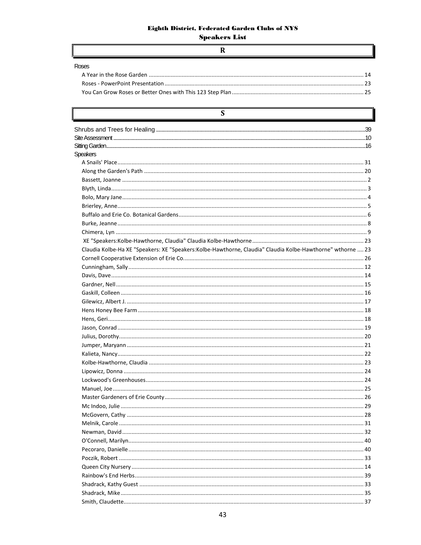#### $\overline{\mathbf{R}}$

| Roses |  |
|-------|--|
|       |  |
|       |  |
|       |  |
|       |  |

| S                                                                                                          |    |
|------------------------------------------------------------------------------------------------------------|----|
|                                                                                                            |    |
|                                                                                                            |    |
|                                                                                                            |    |
| <b>Speakers</b>                                                                                            |    |
|                                                                                                            |    |
|                                                                                                            |    |
|                                                                                                            |    |
|                                                                                                            |    |
|                                                                                                            |    |
|                                                                                                            |    |
|                                                                                                            |    |
|                                                                                                            |    |
|                                                                                                            |    |
|                                                                                                            |    |
| Claudia Kolbe-Ha XE "Speakers: XE "Speakers:Kolbe-Hawthorne, Claudia" Claudia Kolbe-Hawthorne" wthorne  23 |    |
|                                                                                                            |    |
|                                                                                                            |    |
|                                                                                                            |    |
|                                                                                                            |    |
|                                                                                                            |    |
|                                                                                                            |    |
|                                                                                                            |    |
|                                                                                                            |    |
|                                                                                                            |    |
|                                                                                                            |    |
|                                                                                                            |    |
|                                                                                                            |    |
|                                                                                                            |    |
|                                                                                                            |    |
|                                                                                                            |    |
|                                                                                                            |    |
|                                                                                                            |    |
|                                                                                                            |    |
| McGovern. Cathy                                                                                            | 28 |
|                                                                                                            |    |
|                                                                                                            |    |
|                                                                                                            |    |
|                                                                                                            |    |
|                                                                                                            |    |
|                                                                                                            |    |
|                                                                                                            |    |
|                                                                                                            |    |
|                                                                                                            |    |
|                                                                                                            |    |
|                                                                                                            |    |